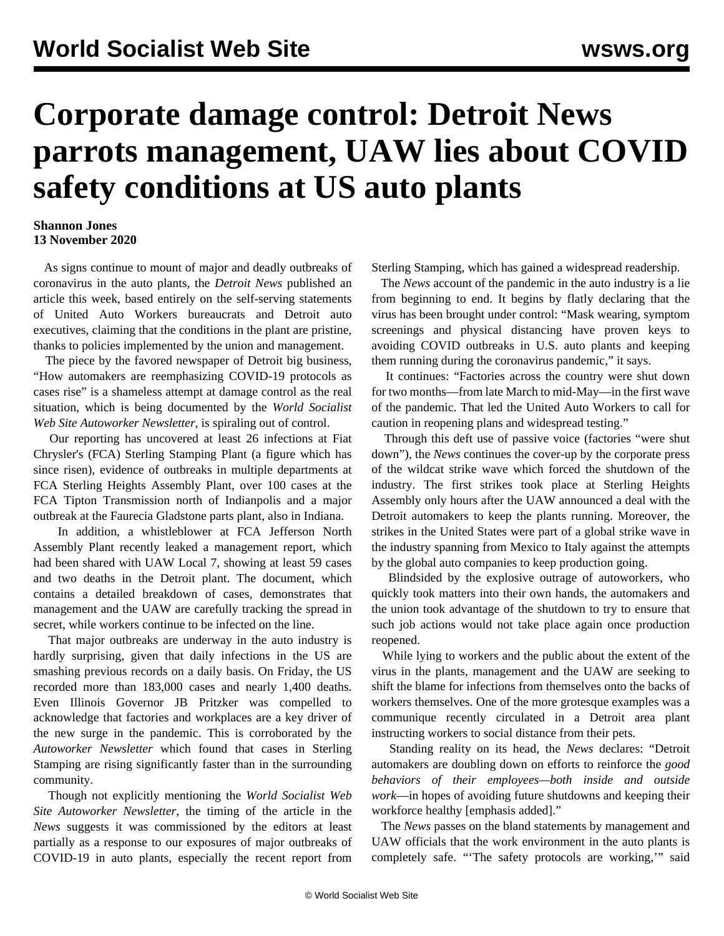## **Corporate damage control: Detroit News parrots management, UAW lies about COVID safety conditions at US auto plants**

## **Shannon Jones 13 November 2020**

 As signs continue to mount of major and deadly outbreaks of coronavirus in the auto plants, the *Detroit News* published an article this week, based entirely on the self-serving statements of United Auto Workers bureaucrats and Detroit auto executives, claiming that the conditions in the plant are pristine, thanks to policies implemented by the union and management.

 The piece by the favored newspaper of Detroit big business, "How automakers are reemphasizing COVID-19 protocols as cases rise" is a shameless attempt at damage control as the real situation, which is being documented by the *World Socialist Web Site Autoworker Newsletter*, is spiraling out of control.

 Our reporting has uncovered at least 26 infections at Fiat Chrysler's (FCA) [Sterling Stamping Plant](/en/articles/2020/11/11/stam-n11.html) (a figure which has since risen), evidence of outbreaks in multiple departments at FCA [Sterling Heights Assembly Plant,](/en/articles/2020/11/04/shap-n04.html) over 100 cases at the FCA [Tipton Transmission](/en/articles/2020/11/13/tipt-n13.html) north of Indianpolis and a major outbreak at the [Faurecia Gladstone](/en/articles/2020/11/10/glad-n10.html) parts plant, also in Indiana.

 In addition, a whistleblower at FCA [Jefferson North](/en/articles/2020/10/23/jnap-o23.html) [Assembly Plant](/en/articles/2020/10/23/jnap-o23.html) recently leaked a management report, which had been shared with UAW Local 7, showing at least 59 cases and two deaths in the Detroit plant. The document, which contains a detailed breakdown of cases, demonstrates that management and the UAW are carefully tracking the spread in secret, while workers continue to be infected on the line.

 That major outbreaks are underway in the auto industry is hardly surprising, given that daily infections in the US are smashing previous records on a daily basis. On Friday, the US recorded more than 183,000 cases and nearly 1,400 deaths. Even Illinois Governor JB Pritzker was compelled to [acknowledge](/en/articles/2020/11/09/illi-n09.html) that factories and workplaces are a key driver of the new surge in the pandemic. This is corroborated by the *Autoworker Newsletter* which found that cases in Sterling Stamping are rising significantly faster than in the surrounding community.

 Though not explicitly mentioning the *World Socialist Web Site Autoworker Newsletter*, the timing of the article in the *News* suggests it was commissioned by the editors at least partially as a response to our exposures of major outbreaks of COVID-19 in auto plants, especially the recent report from Sterling Stamping, which has gained a widespread readership.

 The *News* account of the pandemic in the auto industry is a lie from beginning to end. It begins by flatly declaring that the virus has been brought under control: "Mask wearing, symptom screenings and physical distancing have proven keys to avoiding COVID outbreaks in U.S. auto plants and keeping them running during the coronavirus pandemic," it says.

 It continues: "Factories across the country were shut down for two months—from late March to mid-May—in the first wave of the pandemic. That led the United Auto Workers to call for caution in reopening plans and widespread testing."

 Through this deft use of passive voice (factories "were shut down"), the *News* continues the [cover-up](/en/articles/2020/03/20/medi-m20.html) by the corporate press of the [wildcat strike](/en/articles/2020/03/19/auto-m19.html) wave which forced the shutdown of the industry. The first strikes took place at Sterling Heights Assembly only hours after the UAW announced a deal with the Detroit automakers to keep the plants running. Moreover, the strikes in the United States were part of a global strike wave in the industry spanning from Mexico to Italy against the attempts by the global auto companies to keep production going.

 Blindsided by the explosive outrage of autoworkers, who quickly took matters into their own hands, the automakers and the union took advantage of the shutdown to try to ensure that such job actions would not take place again once production reopened.

 While lying to workers and the public about the extent of the virus in the plants, management and the UAW are seeking to shift the blame for infections from themselves onto the backs of workers themselves. One of the more grotesque examples was a communique recently circulated in a Detroit area plant instructing workers to [social distance from their pets](/en/articles/2020/10/19/auto-o19.html).

 Standing reality on its head, the *News* declares: "Detroit automakers are doubling down on efforts to reinforce the *good behaviors of their employees—both inside and outside work*—in hopes of avoiding future shutdowns and keeping their workforce healthy [emphasis added]."

 The *News* passes on the bland statements by management and UAW officials that the work environment in the auto plants is completely safe. "'The safety protocols are working,'" said